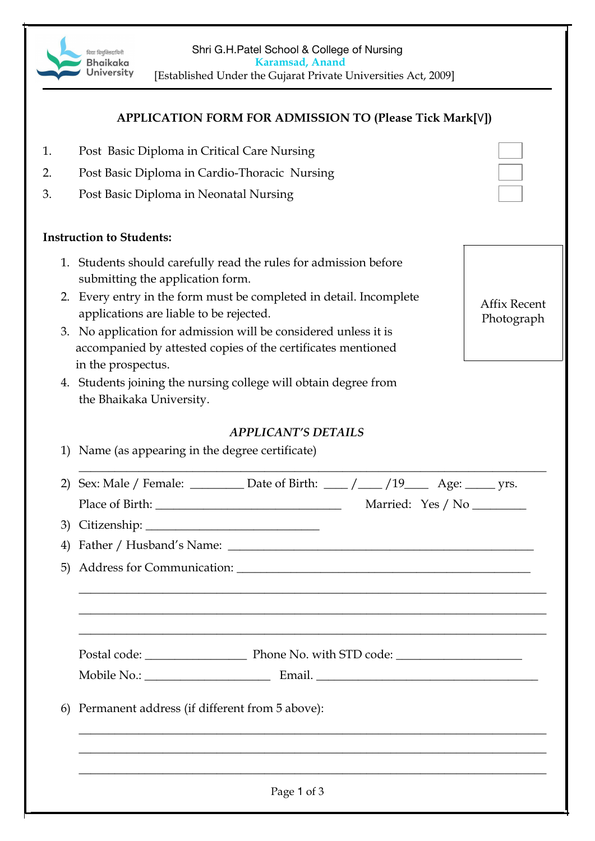Shri G.H.Patel School & College of Nursing <u>विद्या विमक्तिदायिनी</u>  **Karamsad, Anand Bhaikaka** University [Established Under the Gujarat Private Universities Act, 2009] **APPLICATION FORM FOR ADMISSION TO (Please Tick Mark[**٧**])** 1. Post Basic Diploma in Critical Care Nursing 2. Post Basic Diploma in Cardio-Thoracic Nursing 3. Post Basic Diploma in Neonatal Nursing **Instruction to Students:** 1. Students should carefully read the rules for admission before submitting the application form. 2. Every entry in the form must be completed in detail. Incomplete Affix Recent applications are liable to be rejected. Photograph3. No application for admission will be considered unless it is accompanied by attested copies of the certificates mentioned in the prospectus. 4. Students joining the nursing college will obtain degree from the Bhaikaka University. *APPLICANT'S DETAILS* 1) Name (as appearing in the degree certificate)  $\overline{\phantom{a}}$  , and the contribution of the contribution of the contribution of the contribution of the contribution of the contribution of the contribution of the contribution of the contribution of the contribution of the 2) Sex: Male / Female:  $\Box$  Date of Birth:  $\Box$  / $\Box$  /19 $\Box$  Age:  $\Box$  yrs. Place of Birth: \_\_\_\_\_\_\_\_\_\_\_\_\_\_\_\_\_\_\_\_\_\_\_\_\_\_\_\_\_\_\_ Married: Yes / No \_\_\_\_\_\_\_\_\_ 3) Citizenship: \_\_\_\_\_\_\_\_\_\_\_\_\_\_\_\_\_\_\_\_\_\_\_\_\_\_\_\_\_ 4) Father / Husband's Name: \_\_\_\_\_\_\_\_\_\_\_\_\_\_\_\_\_\_\_\_\_\_\_\_\_\_\_\_\_\_\_\_\_\_\_\_\_\_\_\_\_\_\_\_\_\_\_\_\_\_\_ 5) Address for Communication: \_\_\_\_\_\_\_\_\_\_\_\_\_\_\_\_\_\_\_\_\_\_\_\_\_\_\_\_\_\_\_\_\_\_\_\_\_\_\_\_\_\_\_\_\_\_\_\_\_ \_\_\_\_\_\_\_\_\_\_\_\_\_\_\_\_\_\_\_\_\_\_\_\_\_\_\_\_\_\_\_\_\_\_\_\_\_\_\_\_\_\_\_\_\_\_\_\_\_\_\_\_\_\_\_\_\_\_\_\_\_\_\_\_\_\_\_\_\_\_\_\_\_\_\_\_\_\_ \_\_\_\_\_\_\_\_\_\_\_\_\_\_\_\_\_\_\_\_\_\_\_\_\_\_\_\_\_\_\_\_\_\_\_\_\_\_\_\_\_\_\_\_\_\_\_\_\_\_\_\_\_\_\_\_\_\_\_\_\_\_\_\_\_\_\_\_\_\_\_\_\_\_\_\_\_\_ \_\_\_\_\_\_\_\_\_\_\_\_\_\_\_\_\_\_\_\_\_\_\_\_\_\_\_\_\_\_\_\_\_\_\_\_\_\_\_\_\_\_\_\_\_\_\_\_\_\_\_\_\_\_\_\_\_\_\_\_\_\_\_\_\_\_\_\_\_\_\_\_\_\_\_\_\_\_ Postal code: \_\_\_\_\_\_\_\_\_\_\_\_\_\_\_\_\_ Phone No. with STD code: \_\_\_\_\_\_\_\_\_\_\_\_\_\_\_\_\_\_\_\_\_ Mobile No.: \_\_\_\_\_\_\_\_\_\_\_\_\_\_\_\_\_\_\_\_\_ Email. \_\_\_\_\_\_\_\_\_\_\_\_\_\_\_\_\_\_\_\_\_\_\_\_\_\_\_\_\_\_\_\_\_\_\_\_\_ 6) Permanent address (if different from 5 above): \_\_\_\_\_\_\_\_\_\_\_\_\_\_\_\_\_\_\_\_\_\_\_\_\_\_\_\_\_\_\_\_\_\_\_\_\_\_\_\_\_\_\_\_\_\_\_\_\_\_\_\_\_\_\_\_\_\_\_\_\_\_\_\_\_\_\_\_\_\_\_\_\_\_\_\_\_\_ \_\_\_\_\_\_\_\_\_\_\_\_\_\_\_\_\_\_\_\_\_\_\_\_\_\_\_\_\_\_\_\_\_\_\_\_\_\_\_\_\_\_\_\_\_\_\_\_\_\_\_\_\_\_\_\_\_\_\_\_\_\_\_\_\_\_\_\_\_\_\_\_\_\_\_\_\_\_ \_\_\_\_\_\_\_\_\_\_\_\_\_\_\_\_\_\_\_\_\_\_\_\_\_\_\_\_\_\_\_\_\_\_\_\_\_\_\_\_\_\_\_\_\_\_\_\_\_\_\_\_\_\_\_\_\_\_\_\_\_\_\_\_\_\_\_\_\_\_\_\_\_\_\_\_\_\_ Page 1 of 3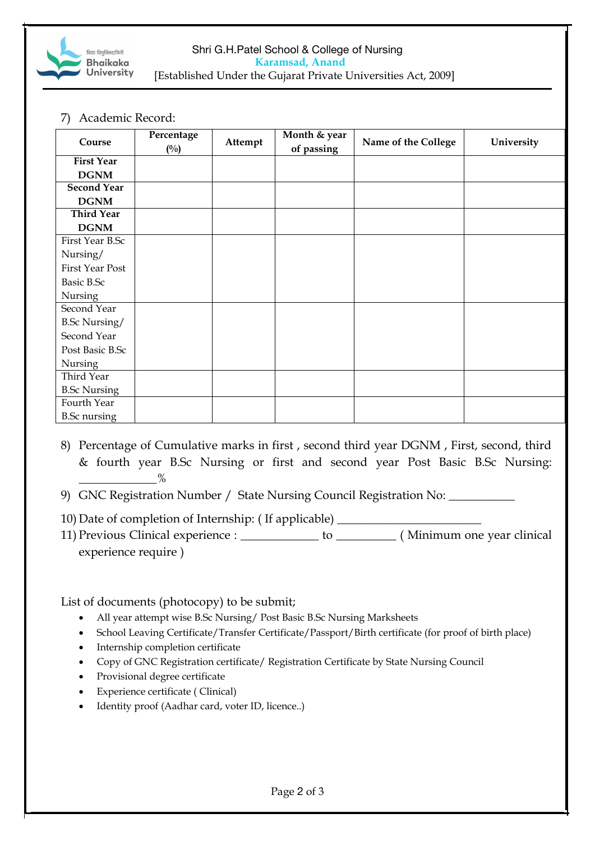

## Shri G.H.Patel School & College of Nursing  **Karamsad, Anand** [Established Under the Gujarat Private Universities Act, 2009]

7) Academic Record:

| Course               | Percentage<br>$(^{0}/_{0})$ | Attempt | Month & year<br>of passing | Name of the College | University |
|----------------------|-----------------------------|---------|----------------------------|---------------------|------------|
| <b>First Year</b>    |                             |         |                            |                     |            |
| <b>DGNM</b>          |                             |         |                            |                     |            |
| <b>Second Year</b>   |                             |         |                            |                     |            |
| <b>DGNM</b>          |                             |         |                            |                     |            |
| <b>Third Year</b>    |                             |         |                            |                     |            |
| <b>DGNM</b>          |                             |         |                            |                     |            |
| First Year B.Sc      |                             |         |                            |                     |            |
| Nursing/             |                             |         |                            |                     |            |
| First Year Post      |                             |         |                            |                     |            |
| Basic B.Sc           |                             |         |                            |                     |            |
| Nursing              |                             |         |                            |                     |            |
| Second Year          |                             |         |                            |                     |            |
| <b>B.Sc Nursing/</b> |                             |         |                            |                     |            |
| Second Year          |                             |         |                            |                     |            |
| Post Basic B.Sc      |                             |         |                            |                     |            |
| Nursing              |                             |         |                            |                     |            |
| Third Year           |                             |         |                            |                     |            |
| <b>B.Sc Nursing</b>  |                             |         |                            |                     |            |
| Fourth Year          |                             |         |                            |                     |            |
| <b>B.Sc</b> nursing  |                             |         |                            |                     |            |

- 8) Percentage of Cumulative marks in first , second third year DGNM , First, second, third & fourth year B.Sc Nursing or first and second year Post Basic B.Sc Nursing:  $\%$
- 9) GNC Registration Number / State Nursing Council Registration No: \_\_\_\_\_\_\_\_\_\_\_\_
- 10) Date of completion of Internship: ( If applicable) \_\_\_\_\_\_\_\_\_\_\_\_\_\_\_\_\_\_\_\_\_\_\_\_
- 11) Previous Clinical experience : \_\_\_\_\_\_\_\_\_\_\_\_\_ to \_\_\_\_\_\_\_\_\_\_ ( Minimum one year clinical experience require )

List of documents (photocopy) to be submit;

- All year attempt wise B.Sc Nursing/ Post Basic B.Sc Nursing Marksheets
- School Leaving Certificate/Transfer Certificate/Passport/Birth certificate (for proof of birth place)
- Internship completion certificate
- Copy of GNC Registration certificate/ Registration Certificate by State Nursing Council
- Provisional degree certificate
- Experience certificate ( Clinical)
- Identity proof (Aadhar card, voter ID, licence..)